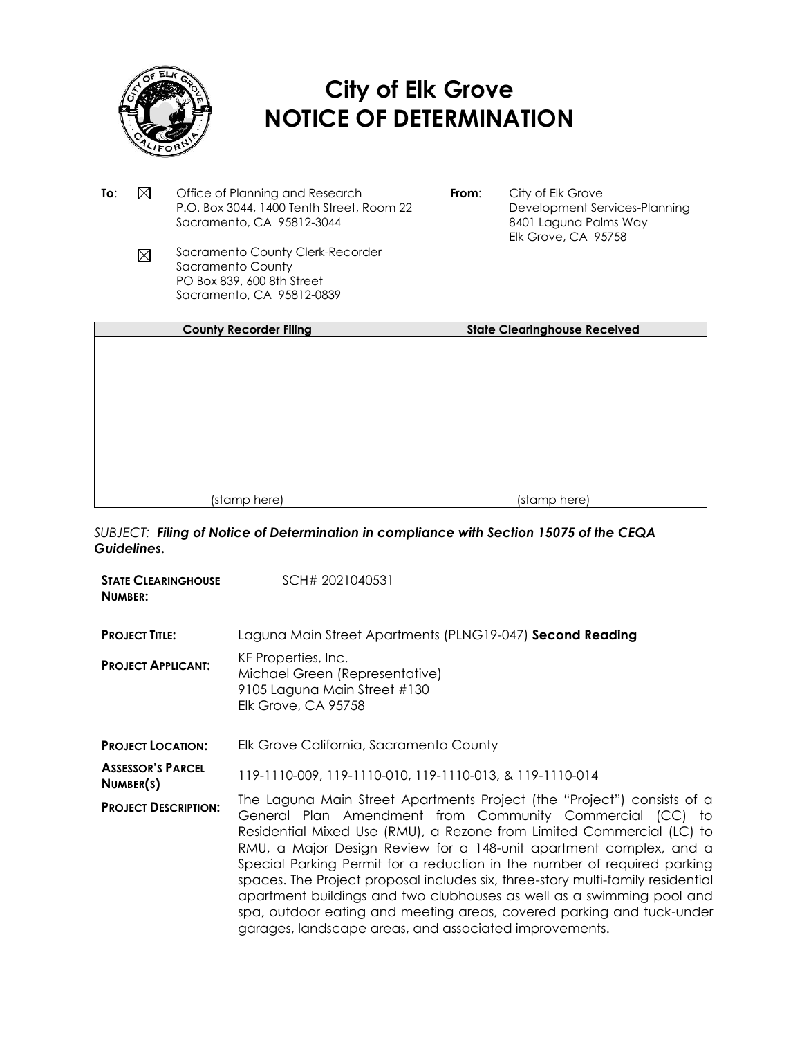

## **City of Elk Grove NOTICE OF DETERMINATION**

- **To:**  $\boxtimes$  Office of Planning and Research P.O. Box 3044, 1400 Tenth Street, Room 22 Sacramento, CA 95812-3044
- **From**: City of Elk Grove Development Services-Planning 8401 Laguna Palms Way Elk Grove, CA 95758
- Sacramento County Clerk-Recorder  $\boxtimes$ Sacramento County PO Box 839, 600 8th Street Sacramento, CA 95812-0839

| <b>County Recorder Filing</b> | <b>State Clearinghouse Received</b> |  |  |  |  |
|-------------------------------|-------------------------------------|--|--|--|--|
|                               |                                     |  |  |  |  |
|                               |                                     |  |  |  |  |
|                               |                                     |  |  |  |  |
|                               |                                     |  |  |  |  |
|                               |                                     |  |  |  |  |
|                               |                                     |  |  |  |  |
|                               |                                     |  |  |  |  |
|                               |                                     |  |  |  |  |
| (stamp here)                  | (stamp here)                        |  |  |  |  |

*SUBJECT: Filing of Notice of Determination in compliance with Section 15075 of the CEQA Guidelines.*

| <b><i>STATE CLEARINGHOUSE</i></b><br>NUMBER: | SCH# 2021040531                                                                                                                                                                                                                                                                                                                                                                                                                                                                                                                                                                                                                                               |
|----------------------------------------------|---------------------------------------------------------------------------------------------------------------------------------------------------------------------------------------------------------------------------------------------------------------------------------------------------------------------------------------------------------------------------------------------------------------------------------------------------------------------------------------------------------------------------------------------------------------------------------------------------------------------------------------------------------------|
| <b>PROJECT TITLE:</b>                        | Laguna Main Street Apartments (PLNG19-047) Second Reading                                                                                                                                                                                                                                                                                                                                                                                                                                                                                                                                                                                                     |
| <b>PROJECT APPLICANT:</b>                    | KF Properties, Inc.<br>Michael Green (Representative)<br>9105 Laguna Main Street #130<br><b>Elk Grove, CA 95758</b>                                                                                                                                                                                                                                                                                                                                                                                                                                                                                                                                           |
| <b>PROJECT LOCATION:</b>                     | Elk Grove California, Sacramento County                                                                                                                                                                                                                                                                                                                                                                                                                                                                                                                                                                                                                       |
| <b>ASSESSOR'S PARCEL</b><br>NUMBER(S)        | 119-1110-009, 119-1110-010, 119-1110-013, & 119-1110-014                                                                                                                                                                                                                                                                                                                                                                                                                                                                                                                                                                                                      |
| <b>PROJECT DESCRIPTION:</b>                  | The Laguna Main Street Apartments Project (the "Project") consists of a<br>General Plan Amendment from Community Commercial (CC) to<br>Residential Mixed Use (RMU), a Rezone from Limited Commercial (LC) to<br>RMU, a Major Design Review for a 148-unit apartment complex, and a<br>Special Parking Permit for a reduction in the number of required parking<br>spaces. The Project proposal includes six, three-story multi-family residential<br>apartment buildings and two clubhouses as well as a swimming pool and<br>spa, outdoor eating and meeting areas, covered parking and tuck-under<br>garages, landscape areas, and associated improvements. |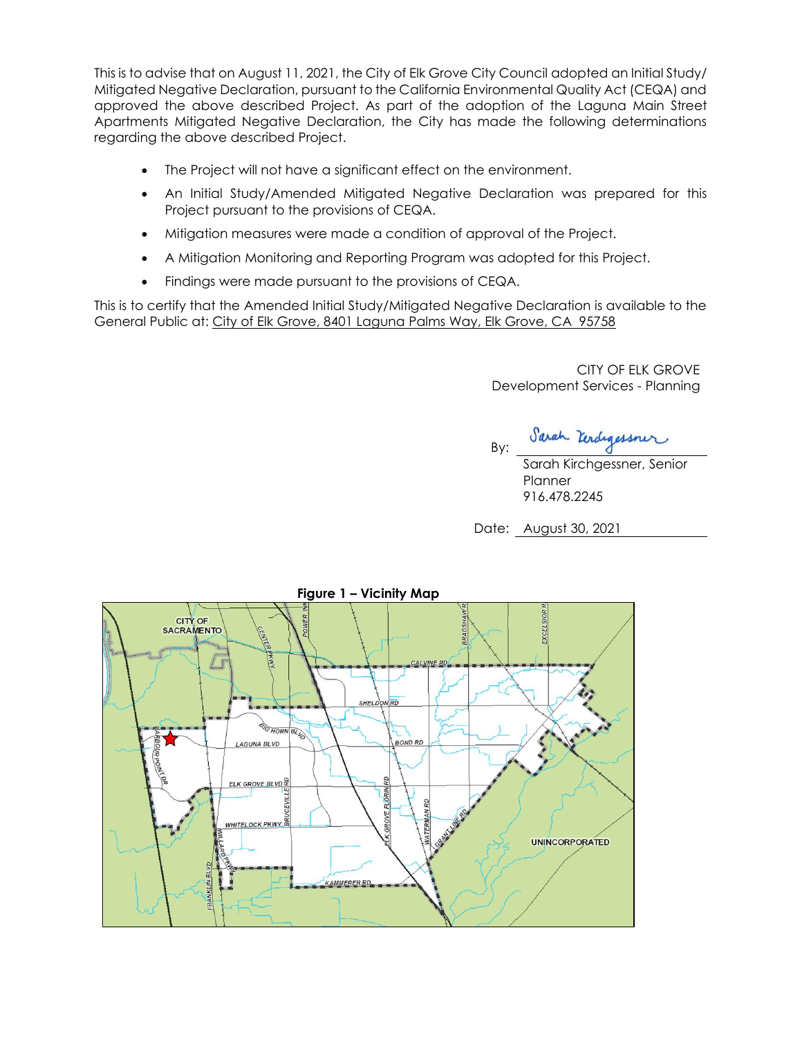This is to advise that on August 11, 2021, the City of Elk Grove City Council adopted an Initial Study/ Mitigated Negative Declaration, pursuant to the California Environmental Quality Act (CEQA) and approved the above described Project. As part of the adoption of the Laguna Main Street Apartments Mitigated Negative Declaration, the City has made the following determinations regarding the above described Project.

- The Project will not have a significant effect on the environment.
- An Initial Study/Amended Mitigated Negative Declaration was prepared for this Project pursuant to the provisions of CEQA.
- Mitigation measures were made a condition of approval of the Project.
- A Mitigation Monitoring and Reporting Program was adopted for this Project.
- Findings were made pursuant to the provisions of CEQA.

This is to certify that the Amended Initial Study/Mitigated Negative Declaration is available to the General Public at: City of Elk Grove, 8401 Laguna Palms Way, Elk Grove, CA 95758

> CITY OF ELK GROVE Development Services - Planning

Sarah Kerdigessner By:

Sarah Kirchgessner, Senior **Planner** 916.478.2245

Date: August 30, 2021

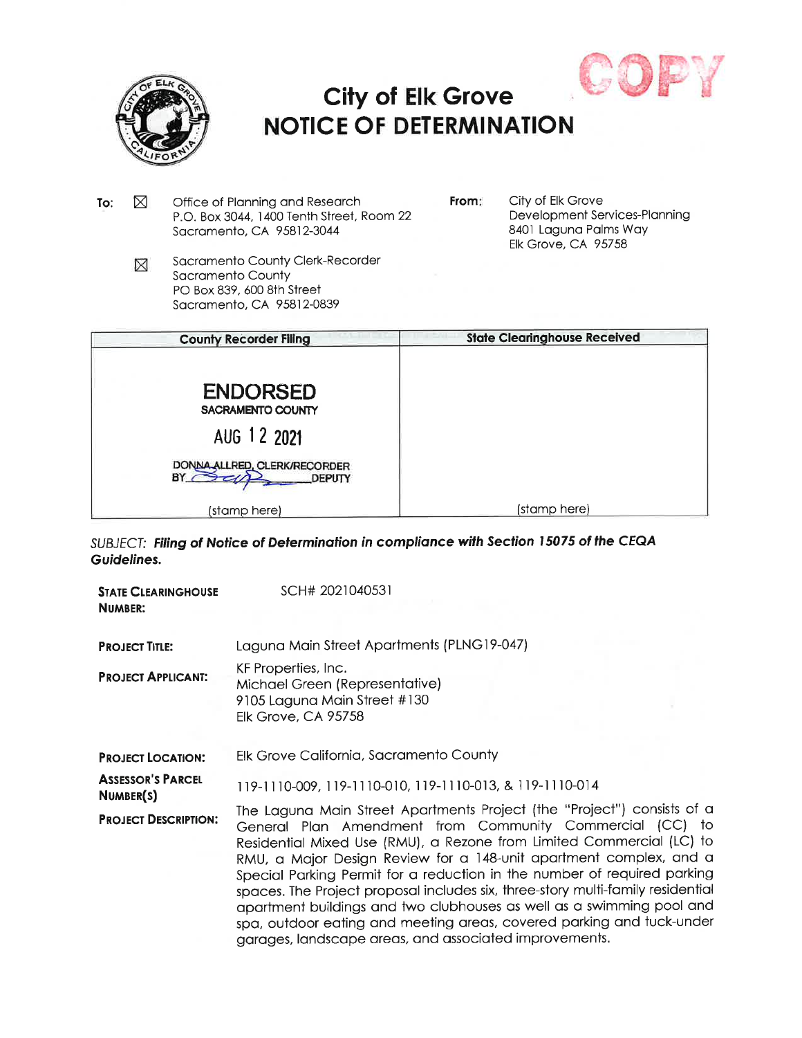

## **City of Elk Grove NOTICE OF DETERMINATION**



| ⊠<br>Office of Planning and Research<br>To:<br>P.O. Box 3044, 1400 Tenth Street, Room 22<br>Sacramento, CA 95812-3044 |   | From:                                                                                                            | City of Elk Grove<br>Development Services-Planning<br>8401 Laguna Palms Way<br><b>Elk Grove, CA 95758</b> |                                     |
|-----------------------------------------------------------------------------------------------------------------------|---|------------------------------------------------------------------------------------------------------------------|-----------------------------------------------------------------------------------------------------------|-------------------------------------|
|                                                                                                                       | ⊠ | Sacramento County Clerk-Recorder<br>Sacramento County<br>PO Box 839, 600 8th Street<br>Sacramento, CA 95812-0839 |                                                                                                           |                                     |
|                                                                                                                       |   | <b>County Recorder Filing</b>                                                                                    |                                                                                                           | <b>State Clearinghouse Received</b> |
|                                                                                                                       |   | <b>ENDORSED</b><br>SACRAMENTO COUNTY                                                                             |                                                                                                           |                                     |
|                                                                                                                       |   | AUG 12 2021                                                                                                      |                                                                                                           |                                     |
|                                                                                                                       |   | DONNA ALLRED, CLERK/RECORDER<br>BY<br>DEPUTY                                                                     |                                                                                                           |                                     |
|                                                                                                                       |   | (stamp here)                                                                                                     |                                                                                                           | (stamp here)                        |

SUBJECT: Filing of Notice of Determination in compliance with Section 15075 of the CEQA Guidelines.

| <b><i>STATE CLEARINGHOUSE</i></b><br>NUMBER: | SCH# 2021040531                                                                                                                                                                                                                                                                                                                                                                                                                                                                                                                                                                                                                                               |
|----------------------------------------------|---------------------------------------------------------------------------------------------------------------------------------------------------------------------------------------------------------------------------------------------------------------------------------------------------------------------------------------------------------------------------------------------------------------------------------------------------------------------------------------------------------------------------------------------------------------------------------------------------------------------------------------------------------------|
| <b>PROJECT TITLE:</b>                        | Laguna Main Street Apartments (PLNG19-047)                                                                                                                                                                                                                                                                                                                                                                                                                                                                                                                                                                                                                    |
| <b>PROJECT APPLICANT:</b>                    | KF Properties, Inc.<br>Michael Green (Representative)<br>9105 Laguna Main Street #130<br><b>Elk Grove, CA 95758</b>                                                                                                                                                                                                                                                                                                                                                                                                                                                                                                                                           |
| <b>PROJECT LOCATION:</b>                     | Elk Grove California, Sacramento County                                                                                                                                                                                                                                                                                                                                                                                                                                                                                                                                                                                                                       |
| <b>ASSESSOR'S PARCEL</b><br>NUMBER(S)        | 119-1110-009, 119-1110-010, 119-1110-013, & 119-1110-014                                                                                                                                                                                                                                                                                                                                                                                                                                                                                                                                                                                                      |
| <b>PROJECT DESCRIPTION:</b>                  | The Laguna Main Street Apartments Project (the "Project") consists of a<br>General Plan Amendment from Community Commercial (CC) to<br>Residential Mixed Use (RMU), a Rezone from Limited Commercial (LC) to<br>RMU, a Major Design Review for a 148-unit apartment complex, and a<br>Special Parking Permit for a reduction in the number of required parking<br>spaces. The Project proposal includes six, three-story multi-family residential<br>apartment buildings and two clubhouses as well as a swimming pool and<br>spa, outdoor eating and meeting areas, covered parking and tuck-under<br>garages, landscape areas, and associated improvements. |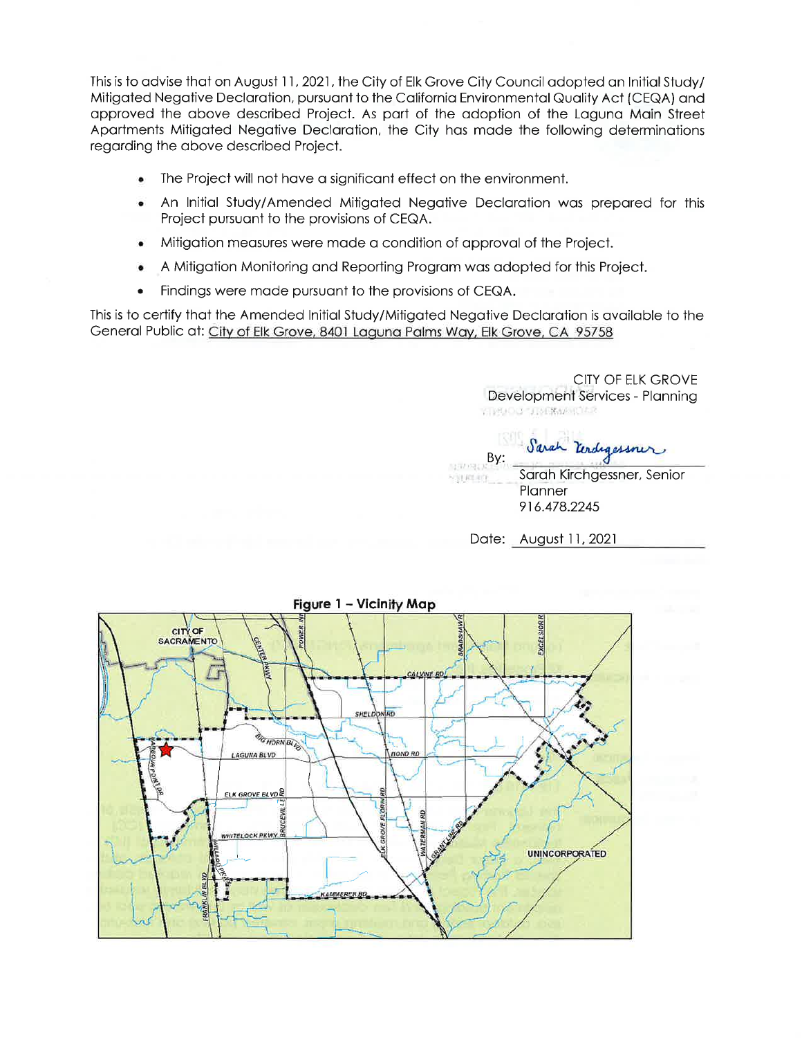This is to advise that on August 11, 2021, the City of Elk Grove City Council adopted an Initial Study/ Mitigated Negative Declaration, pursuant to the California Environmental Quality Act (CEQA) and approved the above described Project. As part of the adoption of the Laguna Main Street Apartments Mitigated Negative Declaration, the City has made the following determinations regarding the above described Project.

- The Project will not have a significant effect on the environment.  $\bullet$
- An Initial Study/Amended Mitigated Negative Declaration was prepared for this Project pursuant to the provisions of CEQA.
- Mitigation measures were made a condition of approval of the Project.
- A Mitigation Monitoring and Reporting Program was adopted for this Project.
- Findings were made pursuant to the provisions of CEQA.

This is to certify that the Amended Initial Study/Mitigated Negative Declaration is available to the General Public at: City of Elk Grove, 8401 Laguna Palms Way, Elk Grove, CA 95758

> CITY OF ELK GROVE Development Services - Planning **FIRMOUT TIMERAPHOLIC**

Sarah Kerdigessner  $By:$ 

Sarah Kirchgessner, Senior **SOURIST** Planner 916.478.2245

Date: August 11, 2021

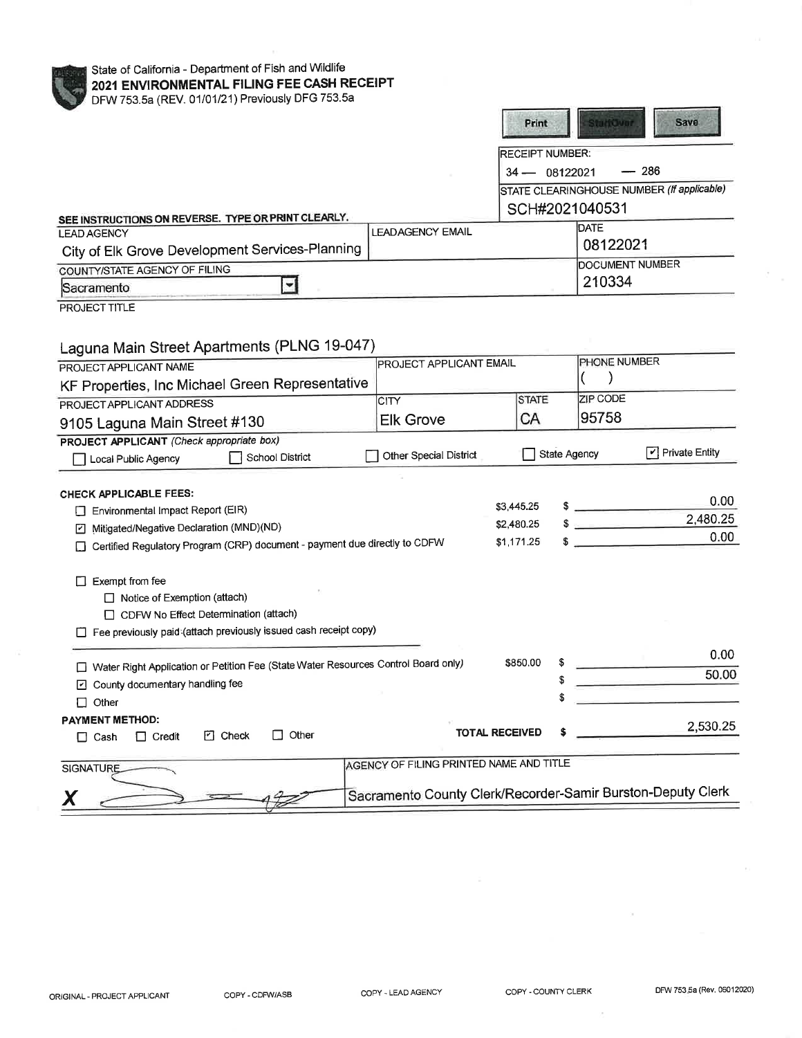| State of California - Department of Fish and Wildlife<br>2021 ENVIRONMENTAL FILING FEE CASH RECEIPT |                                                             |                       |                        |                           |                                            |
|-----------------------------------------------------------------------------------------------------|-------------------------------------------------------------|-----------------------|------------------------|---------------------------|--------------------------------------------|
| DFW 753.5a (REV. 01/01/21) Previously DFG 753.5a                                                    |                                                             |                       | Print                  | <b>StarfOvor</b>          | Save                                       |
|                                                                                                     |                                                             |                       | <b>RECEIPT NUMBER:</b> |                           |                                            |
|                                                                                                     |                                                             |                       | $34 - 08122021$        |                           | $-286$                                     |
|                                                                                                     |                                                             |                       |                        |                           | STATE CLEARINGHOUSE NUMBER (If applicable) |
|                                                                                                     |                                                             |                       |                        | SCH#2021040531            |                                            |
| SEE INSTRUCTIONS ON REVERSE. TYPE OR PRINT CLEARLY.<br><b>LEAD AGENCY</b>                           | <b>LEADAGENCY EMAIL</b>                                     |                       |                        | <b>DATE</b>               |                                            |
| City of Elk Grove Development Services-Planning                                                     |                                                             |                       |                        | 08122021                  |                                            |
|                                                                                                     |                                                             |                       |                        | <b>DOCUMENT NUMBER</b>    |                                            |
| COUNTY/STATE AGENCY OF FILING<br>$\blacktriangledown$<br>Sacramento                                 |                                                             |                       |                        | 210334                    |                                            |
|                                                                                                     |                                                             |                       |                        |                           |                                            |
| PROJECT TITLE                                                                                       |                                                             |                       |                        |                           |                                            |
|                                                                                                     |                                                             |                       |                        |                           |                                            |
| Laguna Main Street Apartments (PLNG 19-047)                                                         |                                                             |                       |                        |                           |                                            |
| PROJECT APPLICANT NAME                                                                              | PROJECT APPLICANT EMAIL                                     |                       |                        | PHONE NUMBER<br>$\lambda$ |                                            |
| KF Properties, Inc Michael Green Representative                                                     |                                                             |                       |                        |                           |                                            |
| PROJECT APPLICANT ADDRESS                                                                           | CITY                                                        |                       | <b>STATE</b>           | <b>ZIP CODE</b>           |                                            |
| 9105 Laguna Main Street #130                                                                        | <b>Elk Grove</b>                                            |                       | СA                     | 95758                     |                                            |
| PROJECT APPLICANT (Check appropriate box)                                                           |                                                             |                       |                        |                           |                                            |
| School District<br>Local Public Agency                                                              | Other Special District                                      |                       | State Agency           |                           | $\boxed{\checkmark}$ Private Entity        |
|                                                                                                     |                                                             |                       |                        |                           |                                            |
| CHECK APPLICABLE FEES:                                                                              |                                                             |                       |                        |                           | 0.00                                       |
| Environmental Impact Report (EIR)                                                                   |                                                             | \$3,445.25            |                        | $\sim$                    | 2,480.25                                   |
| Mitigated/Negative Declaration (MND)(ND)<br>☑                                                       |                                                             | \$2,480.25            |                        | $\frac{1}{2}$             | 0.00                                       |
| Certified Regulatory Program (CRP) document - payment due directly to CDFW                          |                                                             | \$1,171.25            |                        | $\sim$                    |                                            |
|                                                                                                     |                                                             |                       |                        |                           |                                            |
| $\Box$ Exempt from fee                                                                              |                                                             |                       |                        |                           |                                            |
| $\Box$ Notice of Exemption (attach)                                                                 |                                                             |                       |                        |                           |                                            |
| CDFW No Effect Determination (attach)                                                               |                                                             |                       |                        |                           |                                            |
| Fee previously paid (attach previously issued cash receipt copy)                                    |                                                             |                       |                        |                           |                                            |
|                                                                                                     |                                                             | \$850.00              |                        |                           | 0.00                                       |
| □ Water Right Application or Petition Fee (State Water Resources Control Board only)                |                                                             |                       |                        |                           | 50.00                                      |
| County documentary handling fee                                                                     |                                                             |                       | \$                     |                           |                                            |
| $\Box$ Other                                                                                        |                                                             |                       |                        |                           |                                            |
| <b>PAYMENT METHOD:</b><br>$\Box$ Other                                                              |                                                             | <b>TOTAL RECEIVED</b> |                        |                           | 2,530.25                                   |
| <b>D</b> Check<br>$\Box$ Credit<br>$\Box$ Cash                                                      |                                                             |                       |                        |                           |                                            |
| <b>SIGNATURE</b>                                                                                    | AGENCY OF FILING PRINTED NAME AND TITLE                     |                       |                        |                           |                                            |
|                                                                                                     |                                                             |                       |                        |                           |                                            |
|                                                                                                     | Sacramento County Clerk/Recorder-Samir Burston-Deputy Clerk |                       |                        |                           |                                            |

COPY - CDFW/ASB

ò.